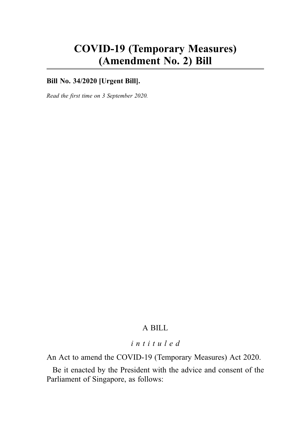# COVID-19 (Temporary Measures) (Amendment No. 2) Bill

# **Bill No. 34/2020 [Urgent Bill].**

Read the first time on 3 September 2020.

# A BILL

# intituled

An Act to amend the COVID-19 (Temporary Measures) Act 2020.

Be it enacted by the President with the advice and consent of the Parliament of Singapore, as follows: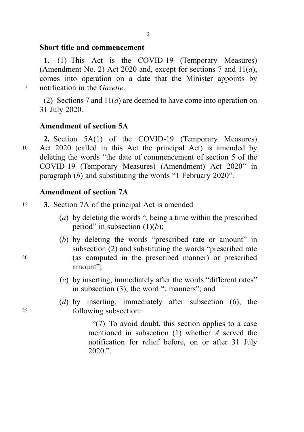# Short title and commencement

1.—(1) This Act is the COVID-19 (Temporary Measures) (Amendment No. 2) Act 2020 and, except for sections 7 and  $11(a)$ , comes into operation on a date that the Minister appoints by <sup>5</sup> notification in the Gazette.

(2) Sections 7 and  $11(a)$  are deemed to have come into operation on 31 July 2020.

# Amendment of section 5A

2. Section 5A(1) of the COVID-19 (Temporary Measures) <sup>10</sup> Act 2020 (called in this Act the principal Act) is amended by deleting the words "the date of commencement of section 5 of the COVID-19 (Temporary Measures) (Amendment) Act 2020" in paragraph (b) and substituting the words "1 February 2020".

# Amendment of section 7A

- 15 3. Section 7A of the principal Act is amended
	- (a) by deleting the words ", being a time within the prescribed period" in subsection  $(1)(b)$ ;
- (b) by deleting the words "prescribed rate or amount" in subsection (2) and substituting the words "prescribed rate <sup>20</sup> (as computed in the prescribed manner) or prescribed amount";
	- (c) by inserting, immediately after the words "different rates" in subsection (3), the word ", manners"; and
- (d) by inserting, immediately after subsection (6), the <sup>25</sup> following subsection:

"(7) To avoid doubt, this section applies to a case mentioned in subsection  $(1)$  whether A served the notification for relief before, on or after 31 July  $2020$  "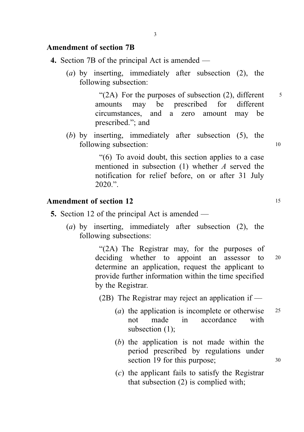### Amendment of section 7B

- 4. Section 7B of the principal Act is amended
	- (a) by inserting, immediately after subsection (2), the following subsection:

" $(2A)$  For the purposes of subsection  $(2)$ , different  $\frac{5}{5}$ amounts may be prescribed for different circumstances, and a zero amount may be prescribed."; and

(b) by inserting, immediately after subsection (5), the following subsection: 10

> "(6) To avoid doubt, this section applies to a case mentioned in subsection (1) whether A served the notification for relief before, on or after 31 July  $2020$  "

#### Amendment of section 12 15

- 5. Section 12 of the principal Act is amended
	- (a) by inserting, immediately after subsection (2), the following subsections:

"(2A) The Registrar may, for the purposes of deciding whether to appoint an assessor to 20 determine an application, request the applicant to provide further information within the time specified by the Registrar.

(2B) The Registrar may reject an application if —

- (*a*) the application is incomplete or otherwise  $25$ not made in accordance with subsection (1);
- (b) the application is not made within the period prescribed by regulations under section 19 for this purpose;  $30$
- (c) the applicant fails to satisfy the Registrar that subsection (2) is complied with;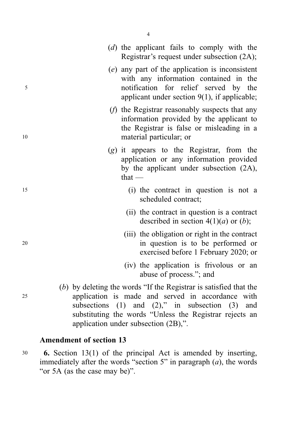|    | (d) the applicant fails to comply with the<br>Registrar's request under subsection (2A);                                                                                                                                                                                            |
|----|-------------------------------------------------------------------------------------------------------------------------------------------------------------------------------------------------------------------------------------------------------------------------------------|
| 5  | (e) any part of the application is inconsistent<br>with any information contained in the<br>notification for relief served by the<br>applicant under section $9(1)$ , if applicable;                                                                                                |
| 10 | $(f)$ the Registrar reasonably suspects that any<br>information provided by the applicant to<br>the Registrar is false or misleading in a<br>material particular; or                                                                                                                |
|    | $(g)$ it appears to the Registrar, from the<br>application or any information provided<br>by the applicant under subsection (2A),<br>that $-$                                                                                                                                       |
| 15 | (i) the contract in question is not a<br>scheduled contract;                                                                                                                                                                                                                        |
|    | (ii) the contract in question is a contract<br>described in section $4(1)(a)$ or $(b)$ ;                                                                                                                                                                                            |
| 20 | (iii) the obligation or right in the contract<br>in question is to be performed or<br>exercised before 1 February 2020; or                                                                                                                                                          |
|    | (iv) the application is frivolous or an<br>abuse of process."; and                                                                                                                                                                                                                  |
| 25 | (b) by deleting the words "If the Registrar is satisfied that the<br>application is made and served in accordance with<br>subsections $(1)$ and $(2)$ ," in subsection $(3)$ and<br>substituting the words "Unless the Registrar rejects an<br>application under subsection (2B),". |

# Amendment of section 13

<sup>30</sup> 6. Section 13(1) of the principal Act is amended by inserting, immediately after the words "section 5" in paragraph  $(a)$ , the words "or 5A (as the case may be)".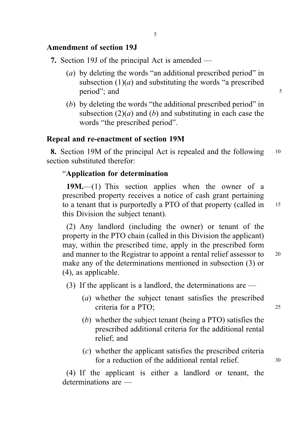# Amendment of section 19J

7. Section 19J of the principal Act is amended —

- (a) by deleting the words "an additional prescribed period" in subsection  $(1)(a)$  and substituting the words "a prescribed" period"; and 5
- (b) by deleting the words "the additional prescribed period" in subsection  $(2)(a)$  and  $(b)$  and substituting in each case the words "the prescribed period".

# Repeal and re-enactment of section 19M

8. Section 19M of the principal Act is repealed and the following 10 section substituted therefor:

# "Application for determination

19M.—(1) This section applies when the owner of a prescribed property receives a notice of cash grant pertaining to a tenant that is purportedly a PTO of that property (called in 15) this Division the subject tenant).

(2) Any landlord (including the owner) or tenant of the property in the PTO chain (called in this Division the applicant) may, within the prescribed time, apply in the prescribed form and manner to the Registrar to appoint a rental relief assessor to <sup>20</sup> make any of the determinations mentioned in subsection (3) or (4), as applicable.

(3) If the applicant is a landlord, the determinations are  $-$ 

- (a) whether the subject tenant satisfies the prescribed criteria for a PTO; 25
- (b) whether the subject tenant (being a PTO) satisfies the prescribed additional criteria for the additional rental relief; and
- (c) whether the applicant satisfies the prescribed criteria for a reduction of the additional rental relief.  $30$

(4) If the applicant is either a landlord or tenant, the determinations are —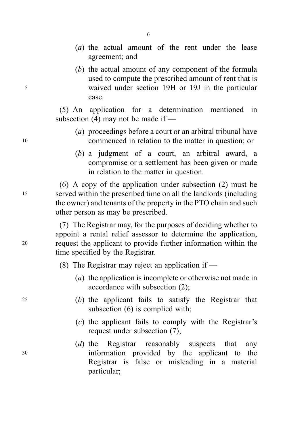- (a) the actual amount of the rent under the lease agreement; and
- (b) the actual amount of any component of the formula used to compute the prescribed amount of rent that is <sup>5</sup> waived under section 19H or 19J in the particular case.

(5) An application for a determination mentioned in subsection (4) may not be made if —

- (a) proceedings before a court or an arbitral tribunal have <sup>10</sup> commenced in relation to the matter in question; or
	- (b) a judgment of a court, an arbitral award, a compromise or a settlement has been given or made in relation to the matter in question.

(6) A copy of the application under subsection (2) must be <sup>15</sup> served within the prescribed time on all the landlords (including the owner) and tenants of the property in the PTO chain and such other person as may be prescribed.

(7) The Registrar may, for the purposes of deciding whether to appoint a rental relief assessor to determine the application, <sup>20</sup> request the applicant to provide further information within the time specified by the Registrar.

(8) The Registrar may reject an application if  $-$ 

- (a) the application is incomplete or otherwise not made in accordance with subsection (2);
- <sup>25</sup> (b) the applicant fails to satisfy the Registrar that subsection (6) is complied with;
	- (c) the applicant fails to comply with the Registrar's request under subsection (7);
- (d) the Registrar reasonably suspects that any <sup>30</sup> information provided by the applicant to the Registrar is false or misleading in a material particular;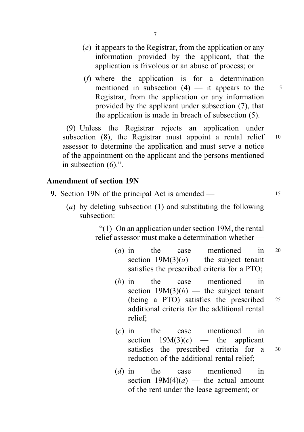- (e) it appears to the Registrar, from the application or any information provided by the applicant, that the application is frivolous or an abuse of process; or
- (f) where the application is for a determination mentioned in subsection  $(4)$  — it appears to the  $\frac{5}{3}$ Registrar, from the application or any information provided by the applicant under subsection (7), that the application is made in breach of subsection (5).

(9) Unless the Registrar rejects an application under subsection (8), the Registrar must appoint a rental relief 10 assessor to determine the application and must serve a notice of the appointment on the applicant and the persons mentioned in subsection (6).".

#### Amendment of section 19N

- **9.** Section 19N of the principal Act is amended  $15$ 
	- (a) by deleting subsection (1) and substituting the following subsection:

"(1) On an application under section 19M, the rental relief assessor must make a determination whether —

- (a) in the case mentioned in 20 section  $19M(3)(a)$  — the subject tenant satisfies the prescribed criteria for a PTO;
- (b) in the case mentioned in section  $19M(3)(b)$  — the subject tenant (being a PTO) satisfies the prescribed <sup>25</sup> additional criteria for the additional rental relief;
- (c) in the case mentioned in section  $19M(3)(c)$  — the applicant satisfies the prescribed criteria for a  $30$ reduction of the additional rental relief;
- (d) in the case mentioned in section  $19M(4)(a)$  — the actual amount of the rent under the lease agreement; or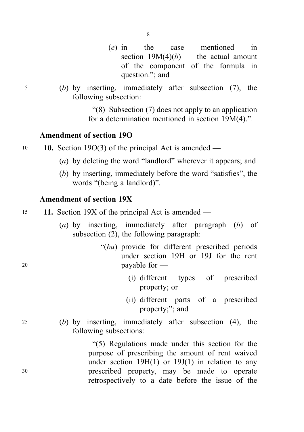- (e) in the case mentioned in section  $19M(4)(b)$  — the actual amount of the component of the formula in question."; and
- <sup>5</sup> (b) by inserting, immediately after subsection (7), the following subsection:

"(8) Subsection (7) does not apply to an application for a determination mentioned in section 19M(4).".

## Amendment of section 19O

- 10 10. Section 19O(3) of the principal Act is amended
	- (a) by deleting the word "landlord" wherever it appears; and
	- (b) by inserting, immediately before the word "satisfies", the words "(being a landlord)".

### Amendment of section 19X

- <sup>15</sup> 11. Section 19X of the principal Act is amended
	- (a) by inserting, immediately after paragraph (b) of subsection (2), the following paragraph:
- "(ba) provide for different prescribed periods under section 19H or 19J for the rent <sup>20</sup> payable for —
	- (i) different types of prescribed property; or
	- (ii) different parts of a prescribed property;"; and
- <sup>25</sup> (b) by inserting, immediately after subsection (4), the following subsections:

"(5) Regulations made under this section for the purpose of prescribing the amount of rent waived under section  $19H(1)$  or  $19J(1)$  in relation to any <sup>30</sup> prescribed property, may be made to operate retrospectively to a date before the issue of the

8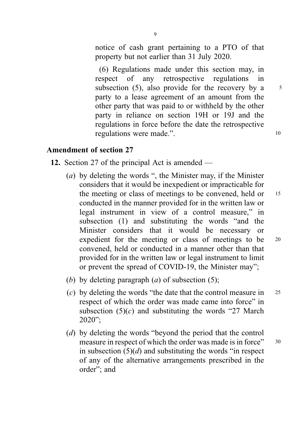notice of cash grant pertaining to a PTO of that property but not earlier than 31 July 2020.

(6) Regulations made under this section may, in respect of any retrospective regulations in subsection  $(5)$ , also provide for the recovery by a  $5$ party to a lease agreement of an amount from the other party that was paid to or withheld by the other party in reliance on section 19H or 19J and the regulations in force before the date the retrospective regulations were made.". 10

# Amendment of section 27

- 12. Section 27 of the principal Act is amended
	- (a) by deleting the words ", the Minister may, if the Minister considers that it would be inexpedient or impracticable for the meeting or class of meetings to be convened, held or 15 conducted in the manner provided for in the written law or legal instrument in view of a control measure," in subsection (1) and substituting the words "and the Minister considers that it would be necessary or expedient for the meeting or class of meetings to be 20 convened, held or conducted in a manner other than that provided for in the written law or legal instrument to limit or prevent the spread of COVID-19, the Minister may";
	- (b) by deleting paragraph  $(a)$  of subsection (5);
	- (c) by deleting the words "the date that the control measure in  $25$ respect of which the order was made came into force" in subsection  $(5)(c)$  and substituting the words "27 March" 2020";
	- (d) by deleting the words "beyond the period that the control measure in respect of which the order was made is in force" 30 in subsection  $(5)(d)$  and substituting the words "in respect" of any of the alternative arrangements prescribed in the order"; and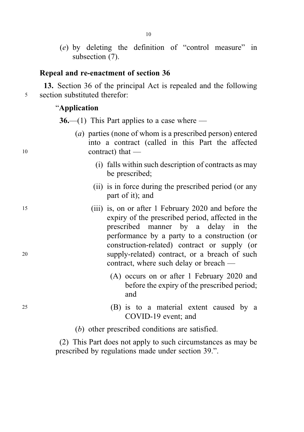(e) by deleting the definition of "control measure" in subsection (7).

## Repeal and re-enactment of section 36

13. Section 36 of the principal Act is repealed and the following <sup>5</sup> section substituted therefor:

#### "Application

**36.—(1)** This Part applies to a case where —

- (a) parties (none of whom is a prescribed person) entered into a contract (called in this Part the affected <sup>10</sup> contract) that —
	- (i) falls within such description of contracts as may be prescribed;
	- (ii) is in force during the prescribed period (or any part of it); and
- <sup>15</sup> (iii) is, on or after 1 February 2020 and before the expiry of the prescribed period, affected in the prescribed manner by a delay in the performance by a party to a construction (or construction-related) contract or supply (or <sup>20</sup> supply-related) contract, or a breach of such contract, where such delay or breach —
	- (A) occurs on or after 1 February 2020 and before the expiry of the prescribed period; and
- <sup>25</sup> (B) is to a material extent caused by a COVID-19 event; and
	- (b) other prescribed conditions are satisfied.

(2) This Part does not apply to such circumstances as may be prescribed by regulations made under section 39.".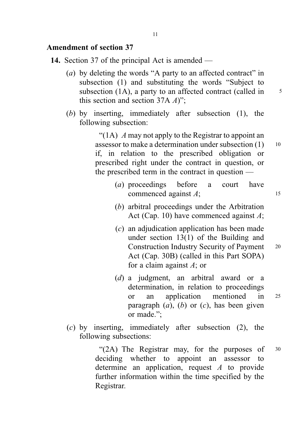### Amendment of section 37

- 14. Section 37 of the principal Act is amended
	- (a) by deleting the words "A party to an affected contract" in subsection (1) and substituting the words "Subject to subsection  $(1A)$ , a party to an affected contract (called in  $\frac{5}{5}$ this section and section  $37A A$ ";
	- (b) by inserting, immediately after subsection (1), the following subsection:

"(1A)  $\Lambda$  may not apply to the Registrar to appoint an assessor to make a determination under subsection  $(1)$  10 if, in relation to the prescribed obligation or prescribed right under the contract in question, or the prescribed term in the contract in question —

- (a) proceedings before a court have commenced against  $A$ ; 15
- (b) arbitral proceedings under the Arbitration Act (Cap. 10) have commenced against  $A$ ;
- (c) an adjudication application has been made under section 13(1) of the Building and Construction Industry Security of Payment <sup>20</sup> Act (Cap. 30B) (called in this Part SOPA) for a claim against  $A$ ; or
- (d) a judgment, an arbitral award or a determination, in relation to proceedings or an application mentioned in <sup>25</sup> paragraph  $(a)$ ,  $(b)$  or  $(c)$ , has been given or made.";
- (c) by inserting, immediately after subsection (2), the following subsections:

"(2A) The Registrar may, for the purposes of  $30$ deciding whether to appoint an assessor to determine an application, request A to provide further information within the time specified by the Registrar.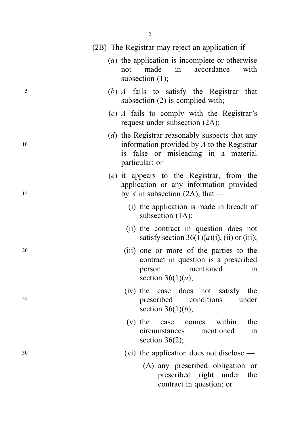|    | (2B) The Registrar may reject an application if $-$                                                                                                         |
|----|-------------------------------------------------------------------------------------------------------------------------------------------------------------|
|    | $(a)$ the application is incomplete or otherwise<br>accordance<br>made<br>with<br>in<br>not<br>subsection $(1)$ ;                                           |
| 5  | (b) A fails to satisfy the Registrar that<br>subsection $(2)$ is complied with;                                                                             |
|    | $(c)$ A fails to comply with the Registrar's<br>request under subsection (2A);                                                                              |
| 10 | (d) the Registrar reasonably suspects that any<br>information provided by $A$ to the Registrar<br>false or misleading in a material<br>1S<br>particular; or |
| 15 | (e) it appears to the Registrar, from the<br>application or any information provided<br>by A in subsection (2A), that —                                     |
|    | (i) the application is made in breach of<br>subsection $(1A)$ ;                                                                                             |
|    | (ii) the contract in question does not<br>satisfy section 36(1)( <i>a</i> )(i), (ii) or (iii);                                                              |
| 20 | (iii) one or more of the parties to the<br>contract in question is a prescribed<br>mentioned<br>in<br>person<br>section $36(1)(a)$ ;                        |
| 25 | (iv) the case does not satisfy the<br>conditions<br>prescribed<br>under<br>section 36(1)( <i>b</i> );                                                       |
|    | within<br>$(v)$ the<br>the<br>case<br>comes<br>mentioned<br>circumstances<br>in<br>section $36(2)$ ;                                                        |
| 30 | (vi) the application does not disclose $-$                                                                                                                  |
|    | (A) any prescribed obligation or<br>prescribed right under<br>the<br>contract in question; or                                                               |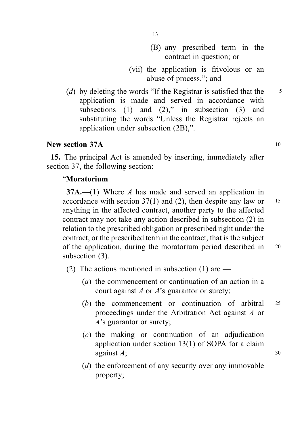- (B) any prescribed term in the contract in question; or
- (vii) the application is frivolous or an abuse of process."; and
- (d) by deleting the words "If the Registrar is satisfied that the  $\frac{5}{5}$ application is made and served in accordance with subsections (1) and (2)," in subsection (3) and substituting the words "Unless the Registrar rejects an application under subsection (2B),".

# New section 37A 10

15. The principal Act is amended by inserting, immediately after section 37, the following section:

# "Moratorium

37A.—(1) Where A has made and served an application in accordance with section  $37(1)$  and (2), then despite any law or 15 anything in the affected contract, another party to the affected contract may not take any action described in subsection (2) in relation to the prescribed obligation or prescribed right under the contract, or the prescribed term in the contract, that is the subject of the application, during the moratorium period described in <sup>20</sup> subsection (3).

(2) The actions mentioned in subsection (1) are  $-$ 

- (a) the commencement or continuation of an action in a court against  $A$  or  $A$ 's guarantor or surety;
- (b) the commencement or continuation of arbitral <sup>25</sup> proceedings under the Arbitration Act against A or A's guarantor or surety;
- (c) the making or continuation of an adjudication application under section 13(1) of SOPA for a claim against  $A$ ; 30
- (d) the enforcement of any security over any immovable property;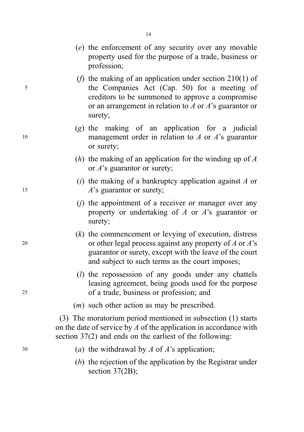|    | (e) the enforcement of any security over any movable<br>property used for the purpose of a trade, business or<br>profession;                                                                                                                      |
|----|---------------------------------------------------------------------------------------------------------------------------------------------------------------------------------------------------------------------------------------------------|
| 5  | ( <i>f</i> ) the making of an application under section $210(1)$ of<br>the Companies Act (Cap. 50) for a meeting of<br>creditors to be summoned to approve a compromise<br>or an arrangement in relation to $A$ or $A$ 's guarantor or<br>surety; |
| 10 | $(g)$ the making of an application for a judicial<br>management order in relation to $A$ or $A$ 's guarantor<br>or surety;                                                                                                                        |
|    | ( <i>h</i> ) the making of an application for the winding up of $\Lambda$<br>or $A$ 's guarantor or surety;                                                                                                                                       |
| 15 | $(i)$ the making of a bankruptcy application against A or<br>$A$ 's guarantor or surety;                                                                                                                                                          |
|    | $(j)$ the appointment of a receiver or manager over any<br>property or undertaking of $A$ or $A$ 's guarantor or<br>surety;                                                                                                                       |
| 20 | $(k)$ the commencement or levying of execution, distress<br>or other legal process against any property of $A$ or $A$ 's<br>guarantor or surety, except with the leave of the court<br>and subject to such terms as the court imposes;            |
| 25 | $(l)$ the repossession of any goods under any chattels<br>leasing agreement, being goods used for the purpose<br>of a trade, business or profession; and                                                                                          |
|    | $(m)$ such other action as may be prescribed.                                                                                                                                                                                                     |
|    | (3) The moratorium period mentioned in subsection (1) starts<br>on the date of service by $A$ of the application in accordance with<br>section $37(2)$ and ends on the earliest of the following:                                                 |
| 30 | (a) the withdrawal by A of A's application;                                                                                                                                                                                                       |
|    | $(b)$ the rejection of the application by the Registrar under<br>section $37(2B)$ ;                                                                                                                                                               |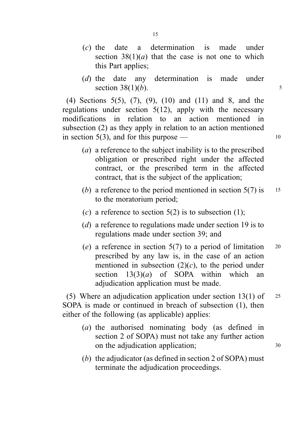- (c) the date a determination is made under section  $38(1)(a)$  that the case is not one to which this Part applies;
- (d) the date any determination is made under section  $38(1)(b)$ .

(4) Sections 5(5), (7), (9), (10) and (11) and 8, and the regulations under section  $5(12)$ , apply with the necessary modifications in relation to an action mentioned in subsection (2) as they apply in relation to an action mentioned in section  $5(3)$ , and for this purpose — 10

- (a) a reference to the subject inability is to the prescribed obligation or prescribed right under the affected contract, or the prescribed term in the affected contract, that is the subject of the application;
- (b) a reference to the period mentioned in section  $5(7)$  is 15 to the moratorium period;
- (c) a reference to section  $5(2)$  is to subsection (1);
- (d) a reference to regulations made under section 19 is to regulations made under section 39; and
- (e) a reference in section  $5(7)$  to a period of limitation 20 prescribed by any law is, in the case of an action mentioned in subsection  $(2)(c)$ , to the period under section  $13(3)(a)$  of SOPA within which an adjudication application must be made.

(5) Where an adjudication application under section  $13(1)$  of 25 SOPA is made or continued in breach of subsection (1), then either of the following (as applicable) applies:

- (a) the authorised nominating body (as defined in section 2 of SOPA) must not take any further action on the adjudication application; 30
- (b) the adjudicator (as defined in section 2 of SOPA) must terminate the adjudication proceedings.

15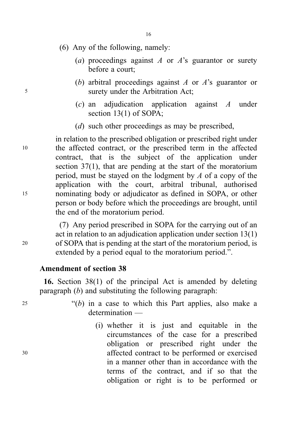- (6) Any of the following, namely:
	- (a) proceedings against A or A's guarantor or surety before a court;
- (b) arbitral proceedings against A or  $A$ 's guarantor or <sup>5</sup> surety under the Arbitration Act;
	- (c) an adjudication application against A under section 13(1) of SOPA;
	- (*d*) such other proceedings as may be prescribed,

in relation to the prescribed obligation or prescribed right under <sup>10</sup> the affected contract, or the prescribed term in the affected contract, that is the subject of the application under section 37(1), that are pending at the start of the moratorium period, must be stayed on the lodgment by  $\Lambda$  of a copy of the application with the court, arbitral tribunal, authorised <sup>15</sup> nominating body or adjudicator as defined in SOPA, or other person or body before which the proceedings are brought, until the end of the moratorium period.

(7) Any period prescribed in SOPA for the carrying out of an act in relation to an adjudication application under section 13(1) <sup>20</sup> of SOPA that is pending at the start of the moratorium period, is extended by a period equal to the moratorium period.".

#### Amendment of section 38

16. Section 38(1) of the principal Act is amended by deleting paragraph  $(b)$  and substituting the following paragraph:

 $25$  "(b) in a case to which this Part applies, also make a determination —

(i) whether it is just and equitable in the circumstances of the case for a prescribed obligation or prescribed right under the <sup>30</sup> affected contract to be performed or exercised in a manner other than in accordance with the terms of the contract, and if so that the obligation or right is to be performed or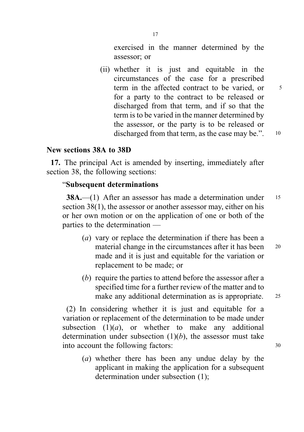exercised in the manner determined by the assessor; or

(ii) whether it is just and equitable in the circumstances of the case for a prescribed term in the affected contract to be varied, or  $5<sup>5</sup>$ for a party to the contract to be released or discharged from that term, and if so that the term is to be varied in the manner determined by the assessor, or the party is to be released or discharged from that term, as the case may be.". 10

### New sections 38A to 38D

17. The principal Act is amended by inserting, immediately after section 38, the following sections:

#### "Subsequent determinations

38A.—(1) After an assessor has made a determination under 15 section 38(1), the assessor or another assessor may, either on his or her own motion or on the application of one or both of the parties to the determination —

- (a) vary or replace the determination if there has been a material change in the circumstances after it has been 20 made and it is just and equitable for the variation or replacement to be made; or
- (b) require the parties to attend before the assessor after a specified time for a further review of the matter and to make any additional determination as is appropriate. 25

(2) In considering whether it is just and equitable for a variation or replacement of the determination to be made under subsection  $(1)(a)$ , or whether to make any additional determination under subsection  $(1)(b)$ , the assessor must take into account the following factors:  $30$ 

(a) whether there has been any undue delay by the applicant in making the application for a subsequent determination under subsection (1);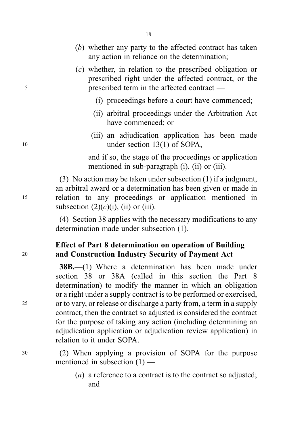- (b) whether any party to the affected contract has taken any action in reliance on the determination;
- (c) whether, in relation to the prescribed obligation or prescribed right under the affected contract, or the <sup>5</sup> prescribed term in the affected contract —
	- (i) proceedings before a court have commenced;
	- (ii) arbitral proceedings under the Arbitration Act have commenced; or
- (iii) an adjudication application has been made 10 under section 13(1) of SOPA,

and if so, the stage of the proceedings or application mentioned in sub-paragraph (i), (ii) or (iii).

(3) No action may be taken under subsection (1) if a judgment, an arbitral award or a determination has been given or made in <sup>15</sup> relation to any proceedings or application mentioned in subsection  $(2)(c)(i)$ , (ii) or (iii).

> (4) Section 38 applies with the necessary modifications to any determination made under subsection (1).

# Effect of Part 8 determination on operation of Building <sup>20</sup> and Construction Industry Security of Payment Act

38B.—(1) Where a determination has been made under section 38 or 38A (called in this section the Part 8 determination) to modify the manner in which an obligation or a right under a supply contract is to be performed or exercised, <sup>25</sup> or to vary, or release or discharge a party from, a term in a supply contract, then the contract so adjusted is considered the contract for the purpose of taking any action (including determining an adjudication application or adjudication review application) in relation to it under SOPA.

<sup>30</sup> (2) When applying a provision of SOPA for the purpose mentioned in subsection  $(1)$  —

> (*a*) a reference to a contract is to the contract so adjusted; and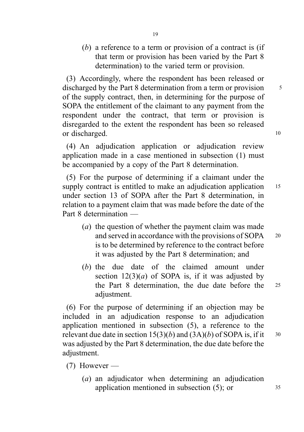(b) a reference to a term or provision of a contract is (if that term or provision has been varied by the Part 8 determination) to the varied term or provision.

(3) Accordingly, where the respondent has been released or discharged by the Part 8 determination from a term or provision <sup>5</sup> of the supply contract, then, in determining for the purpose of SOPA the entitlement of the claimant to any payment from the respondent under the contract, that term or provision is disregarded to the extent the respondent has been so released or discharged. 10

(4) An adjudication application or adjudication review application made in a case mentioned in subsection (1) must be accompanied by a copy of the Part 8 determination.

(5) For the purpose of determining if a claimant under the supply contract is entitled to make an adjudication application 15 under section 13 of SOPA after the Part 8 determination, in relation to a payment claim that was made before the date of the Part 8 determination —

- (a) the question of whether the payment claim was made and served in accordance with the provisions of SOPA 20 is to be determined by reference to the contract before it was adjusted by the Part 8 determination; and
- (b) the due date of the claimed amount under section  $12(3)(a)$  of SOPA is, if it was adjusted by the Part 8 determination, the due date before the <sup>25</sup> adjustment.

(6) For the purpose of determining if an objection may be included in an adjudication response to an adjudication application mentioned in subsection (5), a reference to the relevant due date in section  $15(3)(b)$  and  $(3A)(b)$  of SOPA is, if it  $30$ was adjusted by the Part 8 determination, the due date before the adjustment.

- (7) However
	- (a) an adjudicator when determining an adjudication application mentioned in subsection  $(5)$ ; or  $35$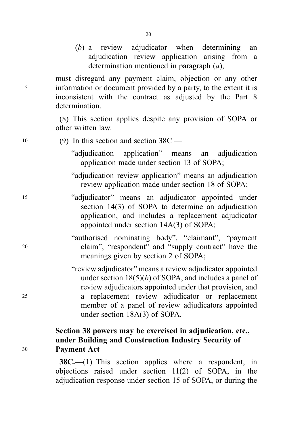(b) a review adjudicator when determining an adjudication review application arising from a determination mentioned in paragraph (a),

must disregard any payment claim, objection or any other <sup>5</sup> information or document provided by a party, to the extent it is inconsistent with the contract as adjusted by the Part 8 determination.

> (8) This section applies despite any provision of SOPA or other written law.

<sup>10</sup> (9) In this section and section 38C — "adjudication application" means an adjudication application made under section 13 of SOPA; "adjudication review application" means an adjudication review application made under section 18 of SOPA; <sup>15</sup> "adjudicator" means an adjudicator appointed under section 14(3) of SOPA to determine an adjudication application, and includes a replacement adjudicator appointed under section 14A(3) of SOPA; "authorised nominating body", "claimant", "payment <sup>20</sup> claim", "respondent" and "supply contract" have the meanings given by section 2 of SOPA; "review adjudicator" means a review adjudicator appointed under section  $18(5)(b)$  of SOPA, and includes a panel of review adjudicators appointed under that provision, and <sup>25</sup> a replacement review adjudicator or replacement member of a panel of review adjudicators appointed under section 18A(3) of SOPA. Section 38 powers may be exercised in adjudication, etc., under Building and Construction Industry Security of

> 38C.—(1) This section applies where a respondent, in objections raised under section 11(2) of SOPA, in the adjudication response under section 15 of SOPA, or during the

<sup>30</sup> Payment Act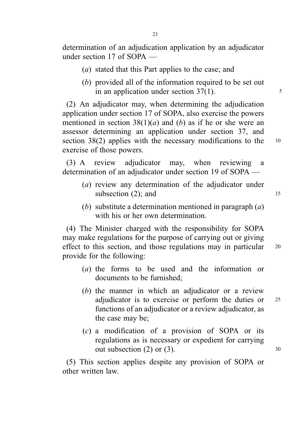determination of an adjudication application by an adjudicator under section 17 of SOPA —

- (a) stated that this Part applies to the case; and
- (b) provided all of the information required to be set out in an application under section  $37(1)$ .  $\frac{5}{1}$

(2) An adjudicator may, when determining the adjudication application under section 17 of SOPA, also exercise the powers mentioned in section  $38(1)(a)$  and (b) as if he or she were an assessor determining an application under section 37, and section 38(2) applies with the necessary modifications to the 10 exercise of those powers.

(3) A review adjudicator may, when reviewing a determination of an adjudicator under section 19 of SOPA —

- (a) review any determination of the adjudicator under subsection  $(2)$ ; and 15
- (b) substitute a determination mentioned in paragraph  $(a)$ with his or her own determination.

(4) The Minister charged with the responsibility for SOPA may make regulations for the purpose of carrying out or giving effect to this section, and those regulations may in particular 20 provide for the following:

- (a) the forms to be used and the information or documents to be furnished;
- (b) the manner in which an adjudicator or a review adjudicator is to exercise or perform the duties or <sup>25</sup> functions of an adjudicator or a review adjudicator, as the case may be;
- (c) a modification of a provision of SOPA or its regulations as is necessary or expedient for carrying out subsection  $(2)$  or  $(3)$ .  $30$

(5) This section applies despite any provision of SOPA or other written law.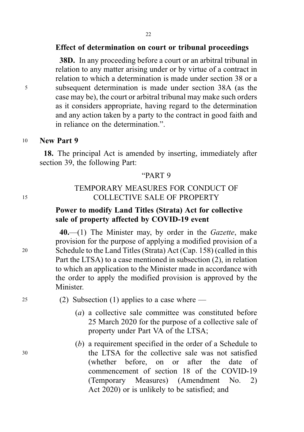### Effect of determination on court or tribunal proceedings

38D. In any proceeding before a court or an arbitral tribunal in relation to any matter arising under or by virtue of a contract in relation to which a determination is made under section 38 or a <sup>5</sup> subsequent determination is made under section 38A (as the case may be), the court or arbitral tribunal may make such orders as it considers appropriate, having regard to the determination and any action taken by a party to the contract in good faith and in reliance on the determination.".

#### <sup>10</sup> New Part 9

18. The principal Act is amended by inserting, immediately after section 39, the following Part:

### "PART 9

# TEMPORARY MEASURES FOR CONDUCT OF <sup>15</sup> COLLECTIVE SALE OF PROPERTY

# Power to modify Land Titles (Strata) Act for collective sale of property affected by COVID-19 event

40.—(1) The Minister may, by order in the *Gazette*, make provision for the purpose of applying a modified provision of a <sup>20</sup> Schedule to the Land Titles (Strata) Act (Cap. 158) (called in this Part the LTSA) to a case mentioned in subsection (2), in relation to which an application to the Minister made in accordance with the order to apply the modified provision is approved by the Minister.

<sup>25</sup> (2) Subsection (1) applies to a case where —

- (a) a collective sale committee was constituted before 25 March 2020 for the purpose of a collective sale of property under Part VA of the LTSA;
- (b) a requirement specified in the order of a Schedule to <sup>30</sup> the LTSA for the collective sale was not satisfied (whether before, on or after the date of commencement of section 18 of the COVID-19 (Temporary Measures) (Amendment No. 2) Act 2020) or is unlikely to be satisfied; and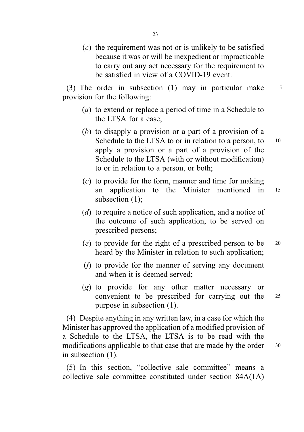(c) the requirement was not or is unlikely to be satisfied because it was or will be inexpedient or impracticable to carry out any act necessary for the requirement to be satisfied in view of a COVID-19 event.

(3) The order in subsection (1) may in particular make 5 provision for the following:

- (a) to extend or replace a period of time in a Schedule to the LTSA for a case;
- (b) to disapply a provision or a part of a provision of a Schedule to the LTSA to or in relation to a person, to  $10$ apply a provision or a part of a provision of the Schedule to the LTSA (with or without modification) to or in relation to a person, or both;
- (c) to provide for the form, manner and time for making an application to the Minister mentioned in <sup>15</sup> subsection (1);
- (d) to require a notice of such application, and a notice of the outcome of such application, to be served on prescribed persons;
- (e) to provide for the right of a prescribed person to be <sup>20</sup> heard by the Minister in relation to such application;
- (f) to provide for the manner of serving any document and when it is deemed served;
- (g) to provide for any other matter necessary or convenient to be prescribed for carrying out the <sup>25</sup> purpose in subsection (1).

(4) Despite anything in any written law, in a case for which the Minister has approved the application of a modified provision of a Schedule to the LTSA, the LTSA is to be read with the modifications applicable to that case that are made by the order 30 in subsection (1).

(5) In this section, "collective sale committee" means a collective sale committee constituted under section 84A(1A)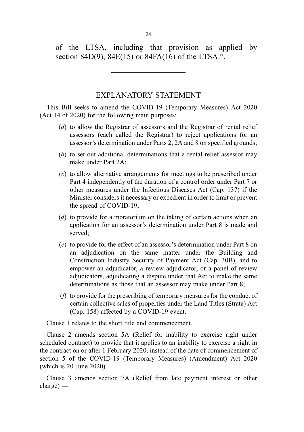of the LTSA, including that provision as applied by section 84D(9), 84E(15) or 84FA(16) of the LTSA.".

# EXPLANATORY STATEMENT

This Bill seeks to amend the COVID-19 (Temporary Measures) Act 2020 (Act 14 of 2020) for the following main purposes:

- (a) to allow the Registrar of assessors and the Registrar of rental relief assessors (each called the Registrar) to reject applications for an assessor's determination under Parts 2, 2A and 8 on specified grounds;
- (b) to set out additional determinations that a rental relief assessor may make under Part 2A;
- (c) to allow alternative arrangements for meetings to be prescribed under Part 4 independently of the duration of a control order under Part 7 or other measures under the Infectious Diseases Act (Cap. 137) if the Minister considers it necessary or expedient in order to limit or prevent the spread of COVID-19;
- (d) to provide for a moratorium on the taking of certain actions when an application for an assessor's determination under Part 8 is made and served;
- (e) to provide for the effect of an assessor's determination under Part 8 on an adjudication on the same matter under the Building and Construction Industry Security of Payment Act (Cap. 30B), and to empower an adjudicator, a review adjudicator, or a panel of review adjudicators, adjudicating a dispute under that Act to make the same determinations as those that an assessor may make under Part 8;
- (f) to provide for the prescribing of temporary measures for the conduct of certain collective sales of properties under the Land Titles (Strata) Act (Cap. 158) affected by a COVID-19 event.

Clause 1 relates to the short title and commencement.

Clause 2 amends section 5A (Relief for inability to exercise right under scheduled contract) to provide that it applies to an inability to exercise a right in the contract on or after 1 February 2020, instead of the date of commencement of section 5 of the COVID-19 (Temporary Measures) (Amendment) Act 2020 (which is 20 June 2020).

Clause 3 amends section 7A (Relief from late payment interest or other charge) —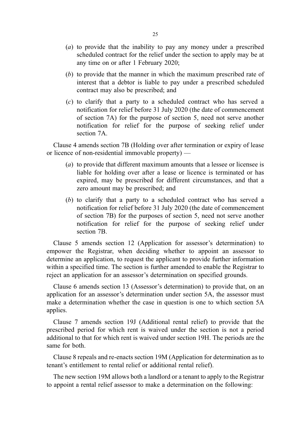- (a) to provide that the inability to pay any money under a prescribed scheduled contract for the relief under the section to apply may be at any time on or after 1 February 2020;
- (b) to provide that the manner in which the maximum prescribed rate of interest that a debtor is liable to pay under a prescribed scheduled contract may also be prescribed; and
- (c) to clarify that a party to a scheduled contract who has served a notification for relief before 31 July 2020 (the date of commencement of section 7A) for the purpose of section 5, need not serve another notification for relief for the purpose of seeking relief under section 7A.

Clause 4 amends section 7B (Holding over after termination or expiry of lease or licence of non-residential immovable property) —

- (a) to provide that different maximum amounts that a lessee or licensee is liable for holding over after a lease or licence is terminated or has expired, may be prescribed for different circumstances, and that a zero amount may be prescribed; and
- (b) to clarify that a party to a scheduled contract who has served a notification for relief before 31 July 2020 (the date of commencement of section 7B) for the purposes of section 5, need not serve another notification for relief for the purpose of seeking relief under section 7B.

Clause 5 amends section 12 (Application for assessor's determination) to empower the Registrar, when deciding whether to appoint an assessor to determine an application, to request the applicant to provide further information within a specified time. The section is further amended to enable the Registrar to reject an application for an assessor's determination on specified grounds.

Clause 6 amends section 13 (Assessor's determination) to provide that, on an application for an assessor's determination under section 5A, the assessor must make a determination whether the case in question is one to which section 5A applies.

Clause 7 amends section 19J (Additional rental relief) to provide that the prescribed period for which rent is waived under the section is not a period additional to that for which rent is waived under section 19H. The periods are the same for both.

Clause 8 repeals and re-enacts section 19M (Application for determination as to tenant's entitlement to rental relief or additional rental relief).

The new section 19M allows both a landlord or a tenant to apply to the Registrar to appoint a rental relief assessor to make a determination on the following: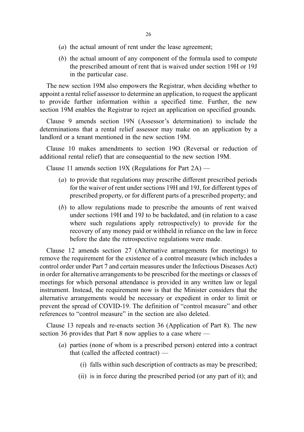- (*a*) the actual amount of rent under the lease agreement;
- (b) the actual amount of any component of the formula used to compute the prescribed amount of rent that is waived under section 19H or 19J in the particular case.

The new section 19M also empowers the Registrar, when deciding whether to appoint a rental relief assessor to determine an application, to request the applicant to provide further information within a specified time. Further, the new section 19M enables the Registrar to reject an application on specified grounds.

Clause 9 amends section 19N (Assessor's determination) to include the determinations that a rental relief assessor may make on an application by a landlord or a tenant mentioned in the new section 19M.

Clause 10 makes amendments to section 19O (Reversal or reduction of additional rental relief) that are consequential to the new section 19M.

Clause 11 amends section 19X (Regulations for Part  $2A$ ) —

- (a) to provide that regulations may prescribe different prescribed periods for the waiver of rent under sections 19H and 19J, for different types of prescribed property, or for different parts of a prescribed property; and
- (b) to allow regulations made to prescribe the amounts of rent waived under sections 19H and 19J to be backdated, and (in relation to a case where such regulations apply retrospectively) to provide for the recovery of any money paid or withheld in reliance on the law in force before the date the retrospective regulations were made.

Clause 12 amends section 27 (Alternative arrangements for meetings) to remove the requirement for the existence of a control measure (which includes a control order under Part 7 and certain measures under the Infectious Diseases Act) in order for alternative arrangements to be prescribed for the meetings or classes of meetings for which personal attendance is provided in any written law or legal instrument. Instead, the requirement now is that the Minister considers that the alternative arrangements would be necessary or expedient in order to limit or prevent the spread of COVID-19. The definition of "control measure" and other references to "control measure" in the section are also deleted.

Clause 13 repeals and re-enacts section 36 (Application of Part 8). The new section 36 provides that Part 8 now applies to a case where —

- (a) parties (none of whom is a prescribed person) entered into a contract that (called the affected contract) —
	- (i) falls within such description of contracts as may be prescribed;
	- (ii) is in force during the prescribed period (or any part of it); and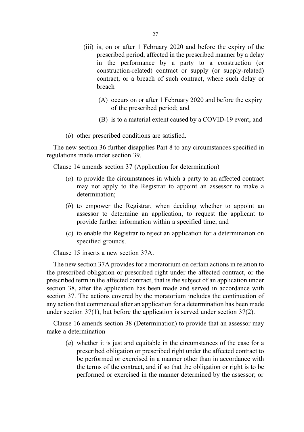- (iii) is, on or after 1 February 2020 and before the expiry of the prescribed period, affected in the prescribed manner by a delay in the performance by a party to a construction (or construction-related) contract or supply (or supply-related) contract, or a breach of such contract, where such delay or breach —
	- . (A) occurs on or after 1 February 2020 and before the expiry of the prescribed period; and
	- (B) is to a material extent caused by a COVID-19 event; and
- (b) other prescribed conditions are satisfied.

The new section 36 further disapplies Part 8 to any circumstances specified in regulations made under section 39.

Clause 14 amends section 37 (Application for determination) —

- (a) to provide the circumstances in which a party to an affected contract may not apply to the Registrar to appoint an assessor to make a determination;
- (b) to empower the Registrar, when deciding whether to appoint an assessor to determine an application, to request the applicant to provide further information within a specified time; and
- (c) to enable the Registrar to reject an application for a determination on specified grounds.

Clause 15 inserts a new section 37A.

The new section 37A provides for a moratorium on certain actions in relation to the prescribed obligation or prescribed right under the affected contract, or the prescribed term in the affected contract, that is the subject of an application under section 38, after the application has been made and served in accordance with section 37. The actions covered by the moratorium includes the continuation of any action that commenced after an application for a determination has been made under section 37(1), but before the application is served under section 37(2).

Clause 16 amends section 38 (Determination) to provide that an assessor may make a determination —

(a) whether it is just and equitable in the circumstances of the case for a prescribed obligation or prescribed right under the affected contract to be performed or exercised in a manner other than in accordance with the terms of the contract, and if so that the obligation or right is to be performed or exercised in the manner determined by the assessor; or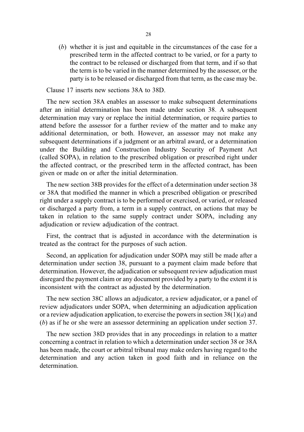(b) whether it is just and equitable in the circumstances of the case for a prescribed term in the affected contract to be varied, or for a party to the contract to be released or discharged from that term, and if so that the term is to be varied in the manner determined by the assessor, or the party is to be released or discharged from that term, as the case may be.

Clause 17 inserts new sections 38A to 38D.

The new section 38A enables an assessor to make subsequent determinations after an initial determination has been made under section 38. A subsequent determination may vary or replace the initial determination, or require parties to attend before the assessor for a further review of the matter and to make any additional determination, or both. However, an assessor may not make any subsequent determinations if a judgment or an arbitral award, or a determination under the Building and Construction Industry Security of Payment Act (called SOPA), in relation to the prescribed obligation or prescribed right under the affected contract, or the prescribed term in the affected contract, has been given or made on or after the initial determination.

The new section 38B provides for the effect of a determination under section 38 or 38A that modified the manner in which a prescribed obligation or prescribed right under a supply contract is to be performed or exercised, or varied, or released or discharged a party from, a term in a supply contract, on actions that may be taken in relation to the same supply contract under SOPA, including any adjudication or review adjudication of the contract.

First, the contract that is adjusted in accordance with the determination is treated as the contract for the purposes of such action.

Second, an application for adjudication under SOPA may still be made after a determination under section 38, pursuant to a payment claim made before that determination. However, the adjudication or subsequent review adjudication must disregard the payment claim or any document provided by a party to the extent it is inconsistent with the contract as adjusted by the determination.

The new section 38C allows an adjudicator, a review adjudicator, or a panel of review adjudicators under SOPA, when determining an adjudication application or a review adjudication application, to exercise the powers in section  $38(1)(a)$  and (b) as if he or she were an assessor determining an application under section 37.

The new section 38D provides that in any proceedings in relation to a matter concerning a contract in relation to which a determination under section 38 or 38A has been made, the court or arbitral tribunal may make orders having regard to the determination and any action taken in good faith and in reliance on the determination.